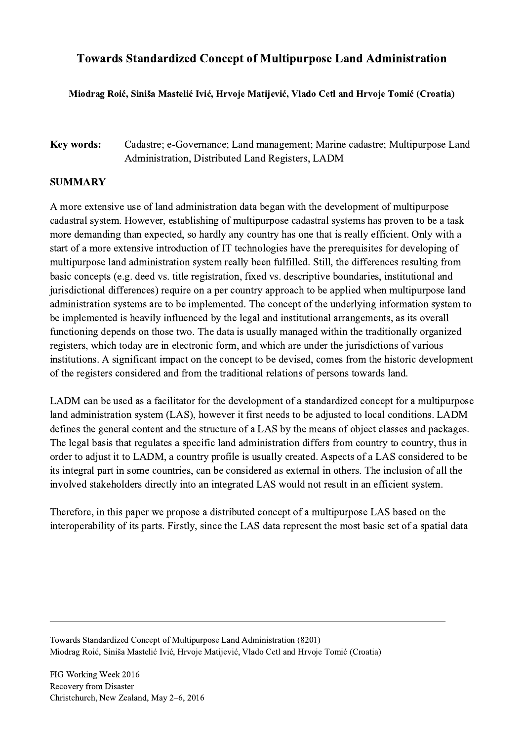## Towards Standardized Concept of Multipurpose Land Administration

## Miodrag Roić, Siniša Mastelić Ivić, Hrvoje Matijević, Vlado Cetl and Hrvoje Tomić (Croatia)

## Key words: Cadastre; e-Governance; Land management; Marine cadastre; Multipurpose Land Administration, Distributed Land Registers, LADM

## SUMMARY

A more extensive use of land administration data began with the development of multipurpose cadastral system. However, establishing of multipurpose cadastral systems has proven to be a task more demanding than expected, so hardly any country has one that is really efficient. Only with a start of a more extensive introduction of IT technologies have the prerequisites for developing of multipurpose land administration system really been fulfilled. Still, the differences resulting from basic concepts (e.g. deed vs. title registration, fixed vs. descriptive boundaries, institutional and jurisdictional differences) require on a per country approach to be applied when multipurpose land administration systems are to be implemented. The concept of the underlying information system to be implemented is heavily influenced by the legal and institutional arrangements, as its overall functioning depends on those two. The data is usually managed within the traditionally organized registers, which today are in electronic form, and which are under the jurisdictions of various institutions. A significant impact on the concept to be devised, comes from the historic development of the registers considered and from the traditional relations of persons towards land.

LADM can be used as a facilitator for the development of a standardized concept for a multipurpose land administration system (LAS), however it first needs to be adjusted to local conditions. LADM defines the general content and the structure of a LAS by the means of object classes and packages. The legal basis that regulates a specific land administration differs from country to country, thus in order to adjust it to LADM, a country profile is usually created. Aspects of a LAS considered to be its integral part in some countries, can be considered as external in others. The inclusion of all the involved stakeholders directly into an integrated LAS would not result in an efficient system.

Therefore, in this paper we propose a distributed concept of a multipurpose LAS based on the interoperability of its parts. Firstly, since the LAS data represent the most basic set of a spatial data

 $\mathcal{L}_\mathcal{L} = \{ \mathcal{L}_\mathcal{L} = \{ \mathcal{L}_\mathcal{L} = \{ \mathcal{L}_\mathcal{L} = \{ \mathcal{L}_\mathcal{L} = \{ \mathcal{L}_\mathcal{L} = \{ \mathcal{L}_\mathcal{L} = \{ \mathcal{L}_\mathcal{L} = \{ \mathcal{L}_\mathcal{L} = \{ \mathcal{L}_\mathcal{L} = \{ \mathcal{L}_\mathcal{L} = \{ \mathcal{L}_\mathcal{L} = \{ \mathcal{L}_\mathcal{L} = \{ \mathcal{L}_\mathcal{L} = \{ \mathcal{L}_\mathcal{$ 

Towards Standardized Concept of Multipurpose Land Administration (8201) Miodrag Roić, Siniša Mastelić Ivić, Hrvoje Matijević, Vlado Cetl and Hrvoje Tomić (Croatia)